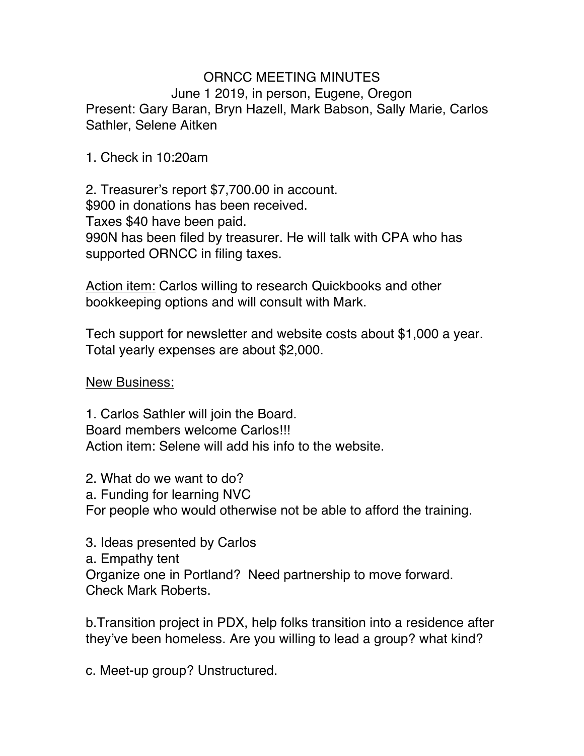## ORNCC MEETING MINUTES June 1 2019, in person, Eugene, Oregon Present: Gary Baran, Bryn Hazell, Mark Babson, Sally Marie, Carlos Sathler, Selene Aitken

1. Check in 10:20am

2. Treasurer's report \$7,700.00 in account. \$900 in donations has been received. Taxes \$40 have been paid. 990N has been filed by treasurer. He will talk with CPA who has supported ORNCC in filing taxes.

Action item: Carlos willing to research Quickbooks and other bookkeeping options and will consult with Mark.

Tech support for newsletter and website costs about \$1,000 a year. Total yearly expenses are about \$2,000.

New Business:

1. Carlos Sathler will join the Board. Board members welcome Carlos!!! Action item: Selene will add his info to the website.

2. What do we want to do? a. Funding for learning NVC For people who would otherwise not be able to afford the training.

3. Ideas presented by Carlos

a. Empathy tent

Organize one in Portland? Need partnership to move forward. Check Mark Roberts.

b.Transition project in PDX, help folks transition into a residence after they've been homeless. Are you willing to lead a group? what kind?

c. Meet-up group? Unstructured.